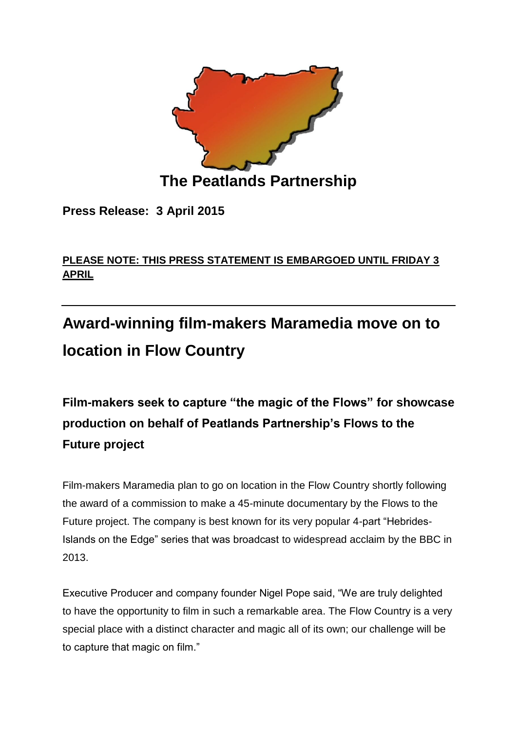

**Press Release: 3 April 2015**

## **PLEASE NOTE: THIS PRESS STATEMENT IS EMBARGOED UNTIL FRIDAY 3 APRIL**

# **Award-winning film-makers Maramedia move on to location in Flow Country**

**Film-makers seek to capture "the magic of the Flows" for showcase production on behalf of Peatlands Partnership's Flows to the Future project** 

Film-makers Maramedia plan to go on location in the Flow Country shortly following the award of a commission to make a 45-minute documentary by the Flows to the Future project. The company is best known for its very popular 4-part "Hebrides-Islands on the Edge" series that was broadcast to widespread acclaim by the BBC in 2013.

Executive Producer and company founder Nigel Pope said, "We are truly delighted to have the opportunity to film in such a remarkable area. The Flow Country is a very special place with a distinct character and magic all of its own; our challenge will be to capture that magic on film."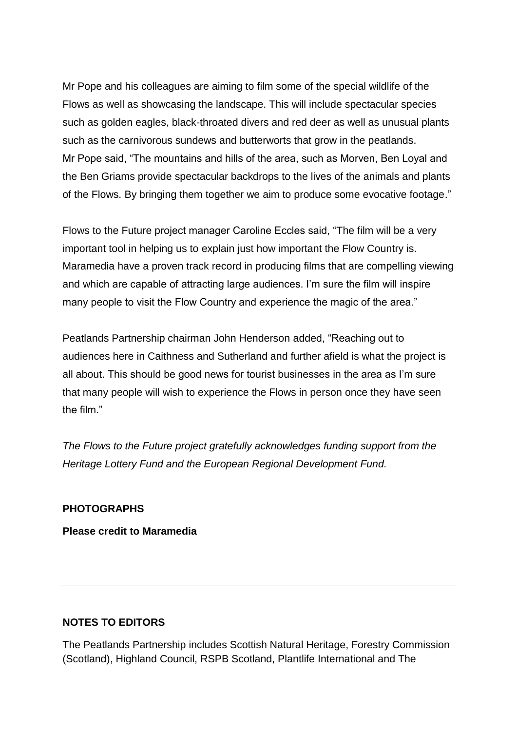Mr Pope and his colleagues are aiming to film some of the special wildlife of the Flows as well as showcasing the landscape. This will include spectacular species such as golden eagles, black-throated divers and red deer as well as unusual plants such as the carnivorous sundews and butterworts that grow in the peatlands. Mr Pope said, "The mountains and hills of the area, such as Morven, Ben Loyal and the Ben Griams provide spectacular backdrops to the lives of the animals and plants of the Flows. By bringing them together we aim to produce some evocative footage."

Flows to the Future project manager Caroline Eccles said, "The film will be a very important tool in helping us to explain just how important the Flow Country is. Maramedia have a proven track record in producing films that are compelling viewing and which are capable of attracting large audiences. I'm sure the film will inspire many people to visit the Flow Country and experience the magic of the area."

Peatlands Partnership chairman John Henderson added, "Reaching out to audiences here in Caithness and Sutherland and further afield is what the project is all about. This should be good news for tourist businesses in the area as I'm sure that many people will wish to experience the Flows in person once they have seen the film."

*The Flows to the Future project gratefully acknowledges funding support from the Heritage Lottery Fund and the European Regional Development Fund.*

#### **PHOTOGRAPHS**

**Please credit to Maramedia**

#### **NOTES TO EDITORS**

The Peatlands Partnership includes Scottish Natural Heritage, Forestry Commission (Scotland), Highland Council, RSPB Scotland, Plantlife International and The